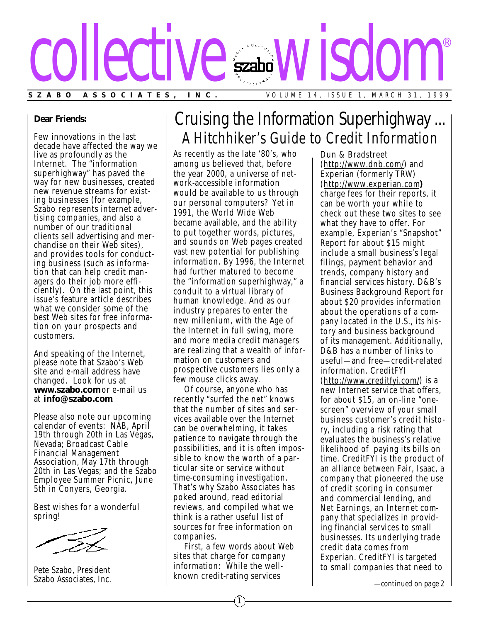

#### **Dear Friends:**

Few innovations in the last decade have affected the way we live as profoundly as the Internet. The "information superhighway" has paved the way for new businesses, created new revenue streams for existing businesses (for example, Szabo represents internet advertising companies, and also a number of our traditional clients sell advertising and merchandise on their Web sites), and provides tools for conducting business (such as information that can help credit managers do their job more efficiently). On the last point, this issue's feature article describes what we consider some of the best Web sites for free information on your prospects and customers.

And speaking of the Internet, please note that Szabo's Web site and e-mail address have changed. Look for us at **www.szabo.com** or e-mail us at **info@szabo.com**.

Please also note our upcoming calendar of events: NAB, April 19th through 20th in Las Vegas, Nevada; Broadcast Cable Financial Management Association, May 17th through 20th in Las Vegas; and the Szabo Employee Summer Picnic, June 5th in Conyers, Georgia.

Best wishes for a wonderful spring!

Pete Szabo, President Szabo Associates, Inc.

# Cruising the Information Superhighway ... A Hitchhiker's Guide to Credit Information

As recently as the late '80's, who among us believed that, before the year 2000, a universe of network-accessible information would be available to us through our personal computers? Yet in 1991, the World Wide Web became available, and the ability to put together words, pictures, and sounds on Web pages created vast new potential for publishing information. By 1996, the Internet had further matured to become the "information superhighway," a conduit to a virtual library of human knowledge. And as our industry prepares to enter the new millenium, with the Age of the Internet in full swing, more and more media credit managers are realizing that a wealth of information on customers and prospective customers lies only a few mouse clicks away.

Of course, anyone who has recently "surfed the net" knows that the number of sites and services available over the Internet can be overwhelming, it takes patience to navigate through the possibilities, and it is often impos sible to know the worth of a particular site or service without time-consuming investigation. That's why Szabo Associates has poked around, read editorial reviews, and compiled what we think is a rather useful list of sources for free information on companies.

First, a few words about Web sites that charge for company information: While the wellknown credit-rating services

Dun & Bradstreet (http://www.dnb.com/) and Experian (formerly TRW) (http://www.experian.com**)** charge fees for their reports, it can be worth your while to check out these two sites to see what they have to offer. For example, Experian's "Snapshot" Report for about \$15 might include a small business's legal filings, payment behavior and trends, company history and financial services history. D&B's Business Background Report for about \$20 provides information about the operations of a company located in the U.S., its his tory and business background of its management. Additionally, D&B has a number of links to useful—and free—credit-related information. CreditFYI (http://www.creditfyi.com/) is a new Internet service that offers, for about \$15, an on-line "onescreen" overview of your small business customer's credit history, including a risk rating that evaluates the business's relative likelihood of paying its bills on time. CreditFYI is the product of an alliance between Fair, Isaac, a company that pioneered the use of credit scoring in consumer and commercial lending, and Net Earnings, an Internet company that specializes in providing financial services to small businesses. Its underlying trade credit data comes from Experian. CreditFYI is targeted to small companies that need to

*—continued on page 2*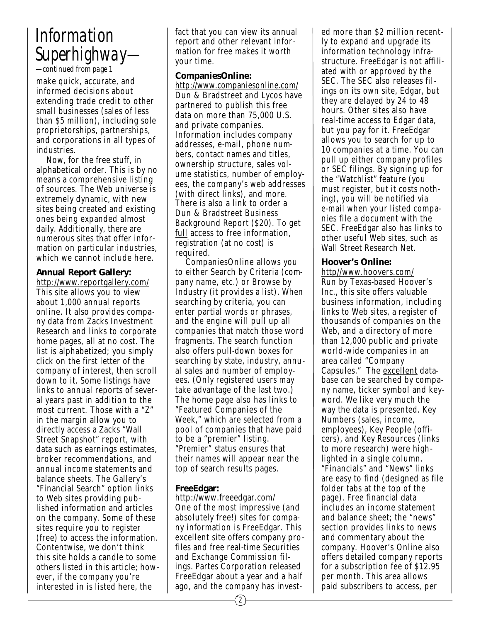# *Information Superhighway—*

*—continued from page 1*

make quick, accurate, and informed decisions about extending trade credit to other small businesses (sales of less than \$5 million), including sole proprietorships, partnerships, and corporations in all types of industries.

Now, for the free stuff, in alphabetical order. This is by no means a comprehensive listing of sources. The Web universe is extremely dynamic, with new sites being created and existing ones being expanded almost daily. Additionally, there are numerous sites that offer information on particular industries, which we cannot include here.

### **Annual Report Gallery:**

http://www.reportgallery.com/ This site allows you to view about 1,000 annual reports online. It also provides company data from Zacks Investment Research and links to corporate home pages, all at no cost. The list is alphabetized; you simply click on the first letter of the company of interest, then scroll down to it. Some listings have links to annual reports of several years past in addition to the most current. Those with a "Z" in the margin allow you to directly access a Zacks "Wall Street Snapshot" report, with data such as earnings estimates, broker recommendations, and annual income statements and balance sheets. The Gallery's "Financial Search" option links to Web sites providing published information and articles on the company. Some of these sites require you to register (free) to access the information. Contentwise, we don't think this site holds a candle to some others listed in this article; however, if the company you're interested in is listed here, the

fact that you can view its annual report and other relevant information for free makes it worth your time.

#### **CompaniesOnline:**

http://www.companiesonline.com/ Dun & Bradstreet and Lycos have partnered to publish this free data on more than 75,000 U.S. and private companies. Information includes company addresses, e-mail, phone numbers, contact names and titles, ownership structure, sales volume statistics, number of employees, the company's web addresses (with direct links), and more. There is also a link to order a Dun & Bradstreet Business Background Report (\$20). To get full access to free information, registration (at no cost) is required.

CompaniesOnline allows you to either Search by Criteria (company name, etc.) or Browse by Industry (it provides a list). When searching by criteria, you can enter partial words or phrases, and the engine will pull up all companies that match those word fragments. The search function also offers pull-down boxes for searching by state, industry, annual sales and number of employees. (Only registered users may take advantage of the last two.) The home page also has links to "Featured Companies of the Week," which are selected from a pool of companies that have paid to be a "premier" listing. "Premier" status ensures that their names will appear near the top of search results pages.

## **FreeEdgar:**

http://www.freeedgar.com/ One of the most impressive (and absolutely free!) sites for company information is FreeEdgar. This excellent site offers company profiles and free real-time Securities and Exchange Commission filings. Partes Corporation released FreeEdgar about a year and a half ago, and the company has invest-

2

ed more than \$2 million recently to expand and upgrade its information technology infrastructure. FreeEdgar is not affiliated with or approved by the SEC. The SEC also releases filings on its own site, Edgar, but they are delayed by 24 to 48 hours. Other sites also have real-time access to Edgar data, but you pay for it. FreeEdgar allows you to search for up to 10 companies at a time. You can pull up either company profiles or SEC filings. By signing up for the "Watchlist" feature (you must register, but it costs nothing), you will be notified via e-mail when your listed companies file a document with the SEC. FreeEdgar also has links to other useful Web sites, such as Wall Street Research Net.

### **Hoover's Online:**

http//www.hoovers.com/ Run by Texas-based Hoover's Inc., this site offers valuable business information, including links to Web sites, a register of thousands of companies on the Web, and a directory of more than 12,000 public and private world-wide companies in an area called "Company Capsules." The excellent database can be searched by company name, ticker symbol and keyword. We like very much the way the data is presented. Key Numbers (sales, income, employees), Key People (officers), and Key Resources (links to more research) were highlighted in a single column. "Financials" and "News" links are easy to find (designed as file folder tabs at the top of the page). Free financial data includes an income statement and balance sheet; the "news" section provides links to news and commentary about the company. Hoover's Online also offers detailed company reports for a subscription fee of \$12.95 per month. This area allows paid subscribers to access, per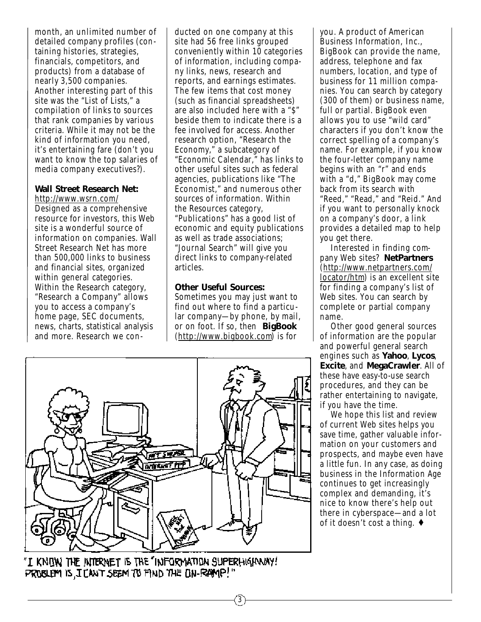month, an unlimited number of detailed company profiles (containing histories, strategies, financials, competitors, and products) from a database of nearly 3,500 companies. Another interesting part of this site was the "List of Lists," a compilation of links to sources that rank companies by various criteria. While it may not be the kind of information you need, it's entertaining fare (don't you want to know the top salaries of media company executives?).

#### **Wall Street Research Net:**

http://www.wsrn.com/ Designed as a comprehensive resource for investors, this Web site is a wonderful source of information on companies. Wall Street Research Net has more than 500,000 links to business and financial sites, organized within general categories. Within the Research category, "Research a Company" allows you to access a company's home page, SEC documents, news, charts, statistical analysis and more. Research we conducted on one company at this site had 56 free links grouped conveniently within 10 categories of information, including company links, news, research and reports, and earnings estimates. The few items that cost money (such as financial spreadsheets) are also included here with a "\$" beside them to indicate there is a fee involved for access. Another research option, "Research the Economy," a subcategory of "Economic Calendar," has links to other useful sites such as federal agencies, publications like "The Economist," and numerous other sources of information. Within the Resources category, "Publications" has a good list of economic and equity publications as well as trade associations; "Journal Search" will give you direct links to company-related articles.

#### **Other Useful Sources:**

Sometimes you may just want to find out where to find a particular company—by phone, by mail, or on foot. If so, then **BigBook** (http://www.bigbook.com) is for

3



"I KNOW THE INTERNET IS THE "INFORMATION SUPERHIGENMAY! PROBLEM IS I CAN'T SEEM TO FIND THE ON-RAMP!"

you. A product of American Business Information, Inc., BigBook can provide the name, address, telephone and fax numbers, location, and type of business for 11 million companies. You can search by category (300 of them) or business name, full or partial. BigBook even allows you to use "wild card" characters if you don't know the correct spelling of a company's name. For example, if you know the four-letter company name begins with an "r" and ends with a "d," BigBook may come back from its search with "Reed," "Read," and "Reid." And if you want to personally knock on a company's door, a link provides a detailed map to help you get there.

Interested in finding company Web sites? **NetPartners** (http://www.netpartners.com/ locator/htm) is an excellent site for finding a company's list of Web sites. You can search by complete or partial company name.

Other good general sources of information are the popular and powerful general search engines such as **Yahoo**, **Lycos**, **Excite**, and **MegaCrawler**. All of these have easy-to-use search procedures, and they can be rather entertaining to navigate, if you have the time.

We hope this list and review of current Web sites helps you save time, gather valuable information on your customers and prospects, and maybe even have a little fun. In any case, as doing business in the Information Age continues to get increasingly complex and demanding, it's nice to know there's help out there in cyberspace—and a lot of it doesn't cost a thing. ♦